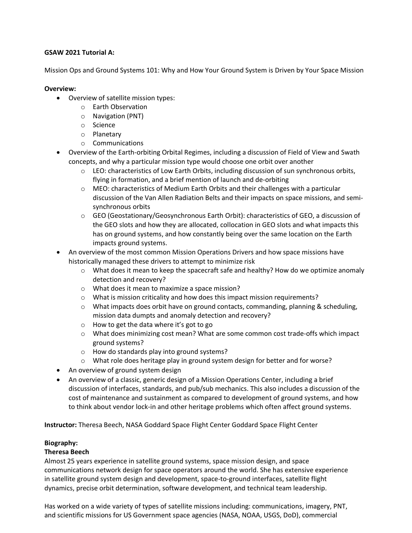## **GSAW 2021 Tutorial A:**

Mission Ops and Ground Systems 101: Why and How Your Ground System is Driven by Your Space Mission

## **Overview:**

- Overview of satellite mission types:
	- o Earth Observation
	- o Navigation (PNT)
	- o Science
	- o Planetary
	- o Communications
- Overview of the Earth-orbiting Orbital Regimes, including a discussion of Field of View and Swath concepts, and why a particular mission type would choose one orbit over another
	- $\circ$  LEO: characteristics of Low Earth Orbits, including discussion of sun synchronous orbits, flying in formation, and a brief mention of launch and de-orbiting
	- o MEO: characteristics of Medium Earth Orbits and their challenges with a particular discussion of the Van Allen Radiation Belts and their impacts on space missions, and semisynchronous orbits
	- o GEO (Geostationary/Geosynchronous Earth Orbit): characteristics of GEO, a discussion of the GEO slots and how they are allocated, collocation in GEO slots and what impacts this has on ground systems, and how constantly being over the same location on the Earth impacts ground systems.
- An overview of the most common Mission Operations Drivers and how space missions have historically managed these drivers to attempt to minimize risk
	- $\circ$  What does it mean to keep the spacecraft safe and healthy? How do we optimize anomaly detection and recovery?
	- o What does it mean to maximize a space mission?
	- $\circ$  What is mission criticality and how does this impact mission requirements?
	- $\circ$  What impacts does orbit have on ground contacts, commanding, planning & scheduling, mission data dumpts and anomaly detection and recovery?
	- o How to get the data where it's got to go
	- o What does minimizing cost mean? What are some common cost trade-offs which impact ground systems?
	- o How do standards play into ground systems?
	- $\circ$  What role does heritage play in ground system design for better and for worse?
- An overview of ground system design
- An overview of a classic, generic design of a Mission Operations Center, including a brief discussion of interfaces, standards, and pub/sub mechanics. This also includes a discussion of the cost of maintenance and sustainment as compared to development of ground systems, and how to think about vendor lock-in and other heritage problems which often affect ground systems.

**Instructor:** Theresa Beech, NASA Goddard Space Flight Center Goddard Space Flight Center

# **Biography:**

# **Theresa Beech**

Almost 25 years experience in satellite ground systems, space mission design, and space communications network design for space operators around the world. She has extensive experience in satellite ground system design and development, space-to-ground interfaces, satellite flight dynamics, precise orbit determination, software development, and technical team leadership.

Has worked on a wide variety of types of satellite missions including: communications, imagery, PNT, and scientific missions for US Government space agencies (NASA, NOAA, USGS, DoD), commercial